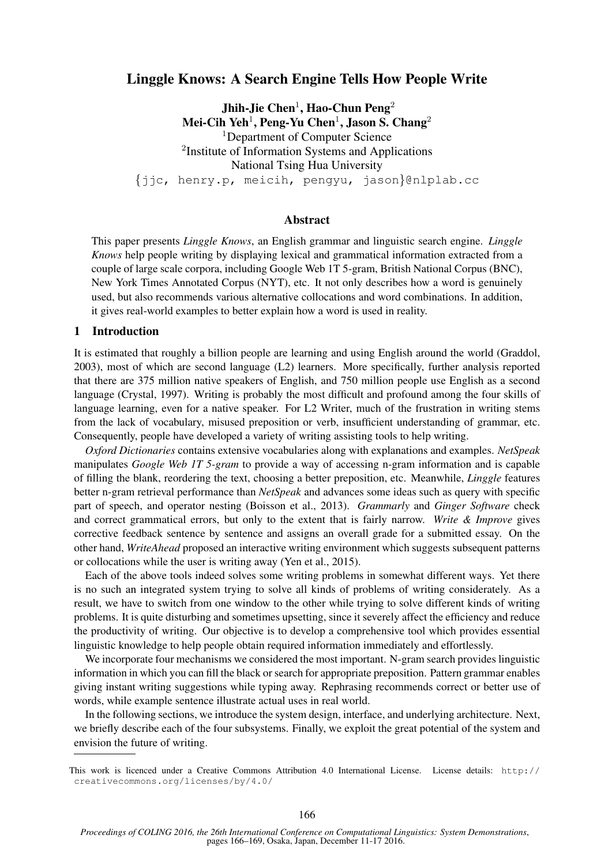# Linggle Knows: A Search Engine Tells How People Write

Jhih-Jie Chen $^1$ , Hao-Chun Peng $^2$ Mei-Cih Yeh $^1$ , Peng-Yu Chen $^1$ , Jason S. Chang $^2$ <sup>1</sup>Department of Computer Science <sup>2</sup>Institute of Information Systems and Applications National Tsing Hua University {jjc, henry.p, meicih, pengyu, jason}@nlplab.cc

#### Abstract

This paper presents *Linggle Knows*, an English grammar and linguistic search engine. *Linggle Knows* help people writing by displaying lexical and grammatical information extracted from a couple of large scale corpora, including Google Web 1T 5-gram, British National Corpus (BNC), New York Times Annotated Corpus (NYT), etc. It not only describes how a word is genuinely used, but also recommends various alternative collocations and word combinations. In addition, it gives real-world examples to better explain how a word is used in reality.

#### 1 Introduction

It is estimated that roughly a billion people are learning and using English around the world (Graddol, 2003), most of which are second language (L2) learners. More specifically, further analysis reported that there are 375 million native speakers of English, and 750 million people use English as a second language (Crystal, 1997). Writing is probably the most difficult and profound among the four skills of language learning, even for a native speaker. For L2 Writer, much of the frustration in writing stems from the lack of vocabulary, misused preposition or verb, insufficient understanding of grammar, etc. Consequently, people have developed a variety of writing assisting tools to help writing.

*Oxford Dictionaries* contains extensive vocabularies along with explanations and examples. *NetSpeak* manipulates *Google Web 1T 5-gram* to provide a way of accessing n-gram information and is capable of filling the blank, reordering the text, choosing a better preposition, etc. Meanwhile, *Linggle* features better n-gram retrieval performance than *NetSpeak* and advances some ideas such as query with specific part of speech, and operator nesting (Boisson et al., 2013). *Grammarly* and *Ginger Software* check and correct grammatical errors, but only to the extent that is fairly narrow. *Write & Improve* gives corrective feedback sentence by sentence and assigns an overall grade for a submitted essay. On the other hand, *WriteAhead* proposed an interactive writing environment which suggests subsequent patterns or collocations while the user is writing away (Yen et al., 2015).

Each of the above tools indeed solves some writing problems in somewhat different ways. Yet there is no such an integrated system trying to solve all kinds of problems of writing considerately. As a result, we have to switch from one window to the other while trying to solve different kinds of writing problems. It is quite disturbing and sometimes upsetting, since it severely affect the efficiency and reduce the productivity of writing. Our objective is to develop a comprehensive tool which provides essential linguistic knowledge to help people obtain required information immediately and effortlessly.

We incorporate four mechanisms we considered the most important. N-gram search provides linguistic information in which you can fill the black or search for appropriate preposition. Pattern grammar enables giving instant writing suggestions while typing away. Rephrasing recommends correct or better use of words, while example sentence illustrate actual uses in real world.

In the following sections, we introduce the system design, interface, and underlying architecture. Next, we briefly describe each of the four subsystems. Finally, we exploit the great potential of the system and envision the future of writing.

This work is licenced under a Creative Commons Attribution 4.0 International License. License details: http:// creativecommons.org/licenses/by/4.0/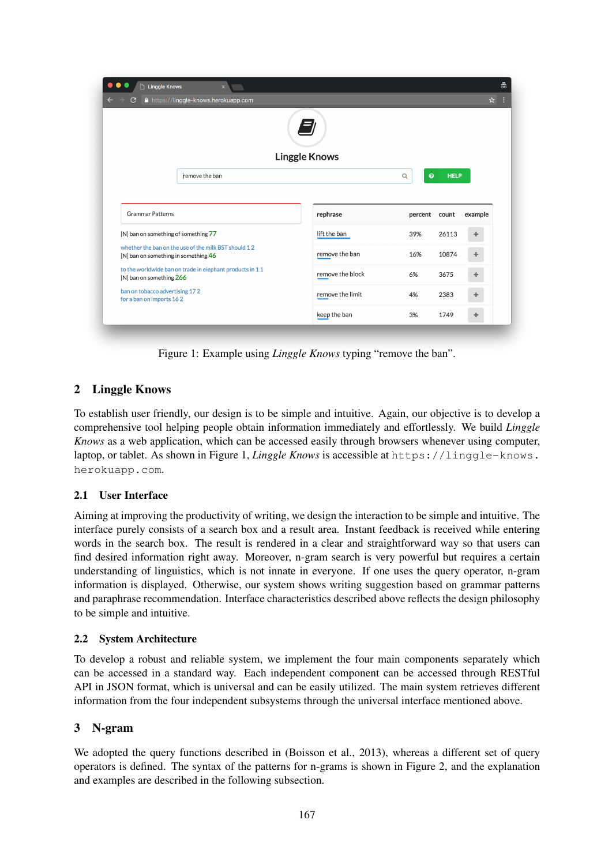|                                                                                              | <b>Linggle Knows</b> |                          |             |         |
|----------------------------------------------------------------------------------------------|----------------------|--------------------------|-------------|---------|
| remove the ban                                                                               |                      | $\bullet$<br>$\mathsf Q$ | <b>HELP</b> |         |
|                                                                                              |                      |                          |             |         |
|                                                                                              |                      |                          |             |         |
| <b>Grammar Patterns</b>                                                                      | rephrase             | percent                  | count       | example |
| [N] ban on something of something 77                                                         | lift the ban         | 39%                      | 26113       | ÷       |
| whether the ban on the use of the milk BST should 12<br>[N] ban on something in something 46 | remove the ban       | 16%                      | 10874       | ÷       |
| to the worldwide ban on trade in elephant products in 11<br>[N] ban on something 266         | remove the block     | 6%                       | 3675        | ÷       |

Figure 1: Example using *Linggle Knows* typing "remove the ban".

# 2 Linggle Knows

To establish user friendly, our design is to be simple and intuitive. Again, our objective is to develop a comprehensive tool helping people obtain information immediately and effortlessly. We build *Linggle Knows* as a web application, which can be accessed easily through browsers whenever using computer, laptop, or tablet. As shown in Figure 1, *Linggle Knows* is accessible at https://linggle-knows. herokuapp.com.

# 2.1 User Interface

Aiming at improving the productivity of writing, we design the interaction to be simple and intuitive. The interface purely consists of a search box and a result area. Instant feedback is received while entering words in the search box. The result is rendered in a clear and straightforward way so that users can find desired information right away. Moreover, n-gram search is very powerful but requires a certain understanding of linguistics, which is not innate in everyone. If one uses the query operator, n-gram information is displayed. Otherwise, our system shows writing suggestion based on grammar patterns and paraphrase recommendation. Interface characteristics described above reflects the design philosophy to be simple and intuitive.

# 2.2 System Architecture

To develop a robust and reliable system, we implement the four main components separately which can be accessed in a standard way. Each independent component can be accessed through RESTful API in JSON format, which is universal and can be easily utilized. The main system retrieves different information from the four independent subsystems through the universal interface mentioned above.

# 3 N-gram

We adopted the query functions described in (Boisson et al., 2013), whereas a different set of query operators is defined. The syntax of the patterns for n-grams is shown in Figure 2, and the explanation and examples are described in the following subsection.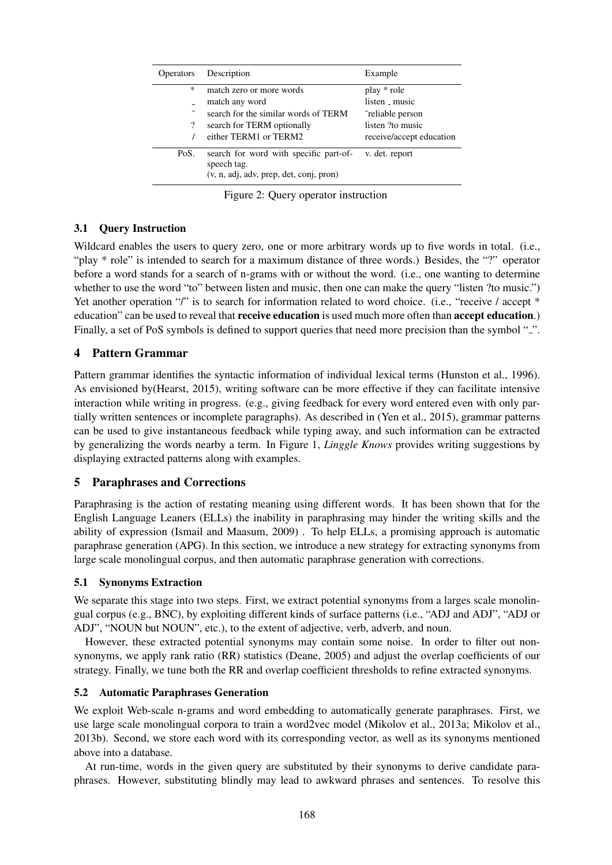| <b>Operators</b> | Description                                                                                        | Example                     |
|------------------|----------------------------------------------------------------------------------------------------|-----------------------------|
| ∗                | match zero or more words                                                                           | play * role<br>listen music |
|                  | match any word                                                                                     |                             |
|                  | search for the similar words of TERM                                                               | reliable person             |
| $\overline{?}$   | search for TERM optionally                                                                         | listen ?to music            |
|                  | either TERM1 or TERM2                                                                              | receive/accept education    |
| PoS.             | search for word with specific part-of-<br>speech tag.<br>$(v, n, adi, adv, prep, det, coni, pron)$ | v. det. report              |

Figure 2: Query operator instruction

### 3.1 Query Instruction

Wildcard enables the users to query zero, one or more arbitrary words up to five words in total. (i.e., "play \* role" is intended to search for a maximum distance of three words.) Besides, the "?" operator before a word stands for a search of n-grams with or without the word. (i.e., one wanting to determine whether to use the word "to" between listen and music, then one can make the query "listen ?to music.") Yet another operation "/" is to search for information related to word choice. (i.e., "receive / accept \* education" can be used to reveal that receive education is used much more often than accept education.) Finally, a set of PoS symbols is defined to support queries that need more precision than the symbol "<sup>2</sup>.

### 4 Pattern Grammar

Pattern grammar identifies the syntactic information of individual lexical terms (Hunston et al., 1996). As envisioned by(Hearst, 2015), writing software can be more effective if they can facilitate intensive interaction while writing in progress. (e.g., giving feedback for every word entered even with only partially written sentences or incomplete paragraphs). As described in (Yen et al., 2015), grammar patterns can be used to give instantaneous feedback while typing away, and such information can be extracted by generalizing the words nearby a term. In Figure 1, *Linggle Knows* provides writing suggestions by displaying extracted patterns along with examples.

# 5 Paraphrases and Corrections

Paraphrasing is the action of restating meaning using different words. It has been shown that for the English Language Leaners (ELLs) the inability in paraphrasing may hinder the writing skills and the ability of expression (Ismail and Maasum, 2009) . To help ELLs, a promising approach is automatic paraphrase generation (APG). In this section, we introduce a new strategy for extracting synonyms from large scale monolingual corpus, and then automatic paraphrase generation with corrections.

### 5.1 Synonyms Extraction

We separate this stage into two steps. First, we extract potential synonyms from a larges scale monolingual corpus (e.g., BNC), by exploiting different kinds of surface patterns (i.e., "ADJ and ADJ", "ADJ or ADJ", "NOUN but NOUN", etc.), to the extent of adjective, verb, adverb, and noun.

However, these extracted potential synonyms may contain some noise. In order to filter out nonsynonyms, we apply rank ratio (RR) statistics (Deane, 2005) and adjust the overlap coefficients of our strategy. Finally, we tune both the RR and overlap coefficient thresholds to refine extracted synonyms.

### 5.2 Automatic Paraphrases Generation

We exploit Web-scale n-grams and word embedding to automatically generate paraphrases. First, we use large scale monolingual corpora to train a word2vec model (Mikolov et al., 2013a; Mikolov et al., 2013b). Second, we store each word with its corresponding vector, as well as its synonyms mentioned above into a database.

At run-time, words in the given query are substituted by their synonyms to derive candidate paraphrases. However, substituting blindly may lead to awkward phrases and sentences. To resolve this